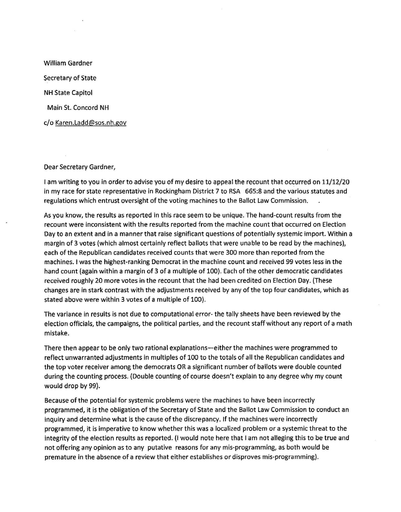William Gardner Secretary of State NH State Capitol Main St. Concord NH c/o [Karen.Ladd@sos.nh.gov](mailto:Karen.Ladd@sos.nh.gov)

Oear Secretary Gardner,

I am writing to you in order to advise you of my desire to appeal the recount that occurred on 11/12/20 in my race for state representative in Rockingham District 7 to RSA 665:8 and the various statutes and regulations which entrust oversight of the voting machines to the Ballot Law Commission.

As you know, the results as reported in this race seem to be unique. The hand-count results from the recount were inconsistent with the results reported from the machine count that occurred on Election Day to an extent and in a manner that raise significant questions of potentially systemic import. Within a margin of 3 votes (which almost certainly reflect ballots that were unable to be read by the machines), each of the Republican candidates received counts that were 300 more than reported from the machines. I was the highest-ranking Democrat in the machine count and received 99 votes less in the hand count (again within a margin of 3 of a multiple of 100). Each of the other democratic candidates received roughly 20 more votes in the recount that the had been credited on Election Day. (These changes are in stark contrast with the adjustments received by any of the top four candidates, which as stated above were within 3 votes of a multiple of 100).

The variance in results is not due to computational error- the tally sheets have been reviewed by the election officials, the campaigns, the political parties, and the recount staff without any report of a math mistake.

There then appear to be only two rational explanations-either the machines were programmed to reflect unwarranted adjustments in multiples of 100 to the totals of all the Republican candidates and the top voter receiver among the democrats OR a significant number of ballots were double counted during the counting process. (Double counting of course doesn't explain to any degree why my count would drop by 99).

Because of the potential for systemic problems were the machines to have been incorrectly programmed, it is the obligation of the Secretary of State and the Ballot Law Commission to conduct an inquiry and determine what is the cause of the discrepancy. If the machines were incorrectly programmed, it is imperative to know whether this was a localized problem or a systemic threat to the integrity of the election results as reported. (I would note here that I am not alleging this to be true and not offering any opinion as to any putative reasons for any mis-programming, as both would be premature in the absence of a review that either establishes or disproves mis-programming).